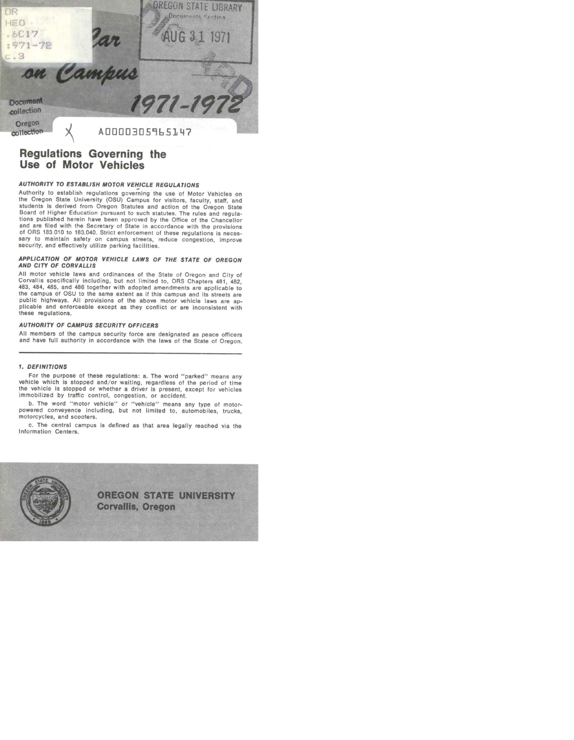

# Regulations Governing the Use of Motor Vehicles

# AUTHORITY TO ESTABLISH MOTOR VEHICLE REGULATIONS

Authority to establish regulations governing the use of Motor Vehicles on the Oregon State University (OSU) Campus for visitors, faculty, staff, and students is derived from Oregon Statutes and action of the Oregon State Board of Higher Education pursuant to such statutes. The rules and regulaand are filed with the Secretary of State in accordance with the provisions of ORS 183.010 to 183.040. Strict enforcement of these regulations is necesof ORS 183.010 to 183.040. Strict enforcement of these regulations is neces-<br>sary to maintain safety on campus streets, reduce congestion, improve<br>security, and effectively utilize parking facilities.

# APPLICATION OF MOTOR VEHICLE LAWS OF THE STATE OF OREGON AND CITY OF CORVALLIS

All motor vehicle laws and ordinances of the State of Oregon and City of<br>Corvallis specifically including, but not limited to, ORS Chapters 481, 482,<br>483, 484, 485, and 486 together with adopted amendments are applicable t public highways. All provisions of the above motor vehicle laws are ap-<br>plicable and enforceable except as they conflict or are inconsistent with these regulations.

## AUTHORITY OF CAMPUS SECURITY OFFICERS

All members of the campus security force are designated as peace officers and have full authority in accordance with the laws of the State of Oregon.

# 1. DEFINITIONS

For the purpose of these regulations: a. The word "parked" means any<br>wehicle which is stopped and/or waiting, regardless of the period of time<br>the vehicle is stopped or whether a driver is present, except for vehicles<br>immo

b. The word "motor vehicle" or "vehicle" means any type of motor- powered conveyence including, but not limited to, automobiles, trucks, motorcycles, and scooters.

c. The central campus is defined as that area legally reached via the Information Centers.

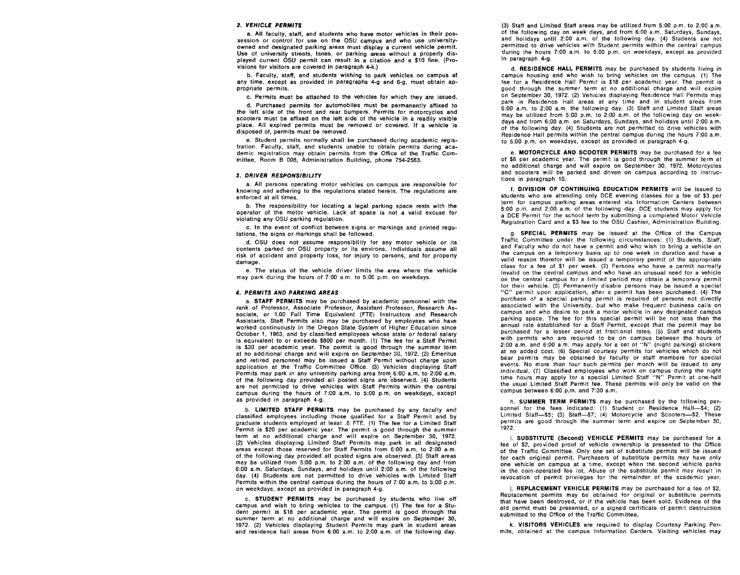#### 2. VEHICLE PERMITS

a. All faculty, staff, and students who have motor vehicles in their possession or control for use on the OSU campus and who use university-<br>owned and designated parking areas must display a current vehicle permit. Use of university streets, lanes, or parking areas without a properly dis-<br>played current OSU permit can result in a citation and a \$10 fine. (Provisions for visitors are covered in paragraph 4-k.)

b. Faculty, staff, and students wishing to park vehicles on campus at any time, except as provided in paragraphs 4-g and 6-g, must obtain appropriate permits.

c. Permits must be attached to the vehicles for which they are issued.

d. Purchased permits for automobiles must be permanently affixed to the left side of the front and rear bumpers. Permits for motorcycles and scooters must be affixed on the left side of the vehicle in a readily visible place. All expired permits must be removed or covered. If a vehicle is disposed of, permits must be removed.

e. Student permits normally shall be purchased during academic registration. Faculty, staff, and students unable to obtain permits during academic registration may obtain permits from the Office of the Traffic Committee, Room B 006, Administration Building, phone 754-2583.

#### 3. DRIVER RESPONSIBILITY

a. All persons operating motor vehicles on campus are responsible for knowing and adhering to the regulations stated herein. The regulations are enforced at all times.

b. The responsibility for locating a legal parking space rests with the operator of the motor vehicle. Lack of space is not a valid excuse for violating any OSU parking regulation.

c. In the event of conflict between signs or markings and printed regulations, the signs or markings shall be followed.

d. OSU does not assume responsibility for any motor vehicle or its contents parked on OSU property or its environs. Individuals assume all risk of accident and property loss, for injury to persons, and for property damage.

e. The status of the vehicle driver limits the area where the vehicle may park during the hours of 7:00 a.m. to 5:00 p.m. on weekdays.

#### 4. PERMITS AND PARKING AREAS

a. STAFF PERMITS may be purchased by academic personnel with the rank of Professor, Associate Professor, Assistant Professor, Research Associate, or 1.00 Full Time Equivalent (FTE) Instructors and Research Assistants. Staff Permits also may be purchased by employees who have worked continuously in the Oregon State System of Higher Education since October 1, 1963, and by classified employees whose state or federal salary is equivalent to or exceeds \$800 per month. (1) The fee for a Staff Permit is \$30 per academic year. The permit is good through the summer term  $\frac{2:100 \text{ a.m.}}{4}$  and bill almometry in an added cost. (6) Special courtesy permits for vehicles which do not at no additional charge and will expire on September 30, 1972. (2) Emeritus and retired personnel may be issued a Staff Permit without charge upon application at the Traffic Committee Office. (3) Vehicles displaying Staff<br>Permits may park in any university parking area from 6:00 a.m. to 2:00 a.m. of the following day provided all posted signs are observed. (4) Students are not permitted to drive vehicles with Staff Permits within the central campus during the hours of 7:00 a.m. to 5:00 p.m. on weekdays, except as provided in paragraph 4-g.

b. LIMITED STAFF PERMITS may be purchased by any faculty and classified employees including those qualified for a Staff Permit and by graduate students employed at least .6 FTE. (1) The fee for a Limited Staff Permit is \$20 per academic year. The permit is good through the summer term at no additional charge and will expire on September 30, 1972. (2) Vehicles displaying Limited Staff Permits may park in all designated areas except those reserved for Staff Permits from 6:00 a.m. to 2:00 a.m. of the following day provided all posted signs are observed. (3) Staff areas may be utilized from 5:00 p.m. to 2:00 a.m. of the following day and from 6:00 a.m. Saturdays, Sundays, and holidays until 2:00 a.m. of the following day. (4) Students are not permitted to drive vehicles with Limited Staff Permits within the central campus during the hours of 7:00 a.m. to 5:00 p.m. on weekdays, except as provided in paragraph 4-g.

c. STUDENT PERMITS may be purchased by students who live off campus and wish to bring vehicles to the campus. (1) The fee for a Stu- dent permit is \$18 per academic year. The permit is good through the summer term at no additional charge and will expire on September 30, 1972. (2) Vehicles displaying Student Permits may park in student areas and residence hall areas from 6:00 a.m. to 2:00 a.m. of the following day.

(3) Staff and Limited Staff areas may be utilized from  $5:00$  p.m. to  $2:00$  a.m. of the following day on week days, and from  $6:00$  a.m. Saturdays, Sundays, and holidays until 2:00 a.m. of the following day, (4) Students are not permitted to drive vehicles with Student permits within the central campus during the hours 7:00 a.m. to 5:00 p.m. on weekdays, except as provided in paragraph 4-g.

d. RESIDENCE HALL PERMITS may be purchased by students living in campus housing and who wish to bring vehicles on the campus. (1) The fee for a Residence Hall Permit is \$18 per academic year. The permit is good through the summer term at no additional charge and will expire on September 30, 1972. (2) Vehicles displaying Residence Hall Permits may park in Residence Hall areas at any time and in student areas from 6:00 a.m. to 2:00 a.m. the following day. (3) Staff and Limited Staff areas may be utilized from 5:00 p.m. to 2:00 a.m. of the following day on weekdays and from 6:00 a.m. on Saturdays, Sundays, and holidays until 2:00 a.m. of the following day. (4) Students are not permitted to drive vehicles with Residence Hall permits within the central campus during the hours 7:00 a.m. to 5:00 p.m. on weekdays, except as provided in paragraph 4-g.

e. MOTORCYCLE AND SCOOTER PERMITS may be purchased for a fee of \$8 per academic year. The permit is good through the summer term at no additional charge and will expire on September 30, 1972. Motorcycles and scooters will be parked and driven on campus according to instructions in paragraph 10.

f. DIVISION OF CONTINUING EDUCATION PERMITS will be issued to students who are attending only DCE evening classes for a fee of \$3 per term for campus parking areas entered via Information Centers between<br>5:00 p.m. and 2:00 a.m. of the following day. DCE students may apply for a DCE Permit for the school term by submitting a completed Motor Vehicle Registration Card and a \$3 fee to the OSU Cashier, Administration Building.

g. SPECIAL PERMITS may be issued at the Office of the Campus Traffic Committee under the following circumstances: (1) Students, Staff, and Faculty who do not have a permit and who wish to bring a vehicle on the campus on a temporary basis up to one week in duration and have a valid reason therefor will be issued a temporary permit of the appropriate class for a fee of \$1 per week. (2) Fersons who have a permit normally invalid on the central campus and who have an unusual need for a vehicle on the central campus for a limited period may obtain a temporary permit for their vehicle. (3) Permanently disable persons may be issued a special "C" permit upon application, after a permit has been purchased. (4) The<br>"C" permit upon application, after a permit has been purchased. (4) The<br>pur associated with the University, but who make frequent business calls on campus and who desire to park a motor vehicle in any designated campus parking space. The fee for this special permit will be not less than the annual rate established for a Staff Permit, except that the permit may be purchased for a lesser period at fractional rates. (5) Staff and students with permits who are required to be on campus between the hours of 2:00 a.m. and 6:00 a.m. may apply for a set of "N" (night parking) stickers bear permits may be obtained by faculty or staff members for special events. No more than four such permits per month will be issued to any individual. (7) Classified employees who work on campus during the night time hours may apply for a special Limited Staff "N" Permit at one-half the usual Limited Staff Permit fee. These permits will only be valid on the campus between 6:00 p.m. and 7:30 a.m.

h. SUMMER TERM PERMITS may be purchased by the following personnel for the fees indicated: (1) Student or Residence Hall—\$4; (2) Limited Staff—\$5; (3) Staff—\$7; (4) Motorcycle and Scooters—\$2. These permits are good through the summer term and expire on September 30, 1972.

i. SUBSTITUTE (Second) VEHICLE PERMITS may be purchased for a fee of \$2, provided proof of vehicle ownership is presented to the Office of the Traffic Committee. Only one set of substitute permits will be issued for each original permit. Purchasers of substitute permits may have only one vehicle on campus at a time, except when the second vehicle parks in the coin-operated fee lot. Abuse of the substitute permit may result in revocation of permit privileges for the remainder of the academic year.

J. REPLACEMENT VEHICLE PERMITS may be purchased for a fee of \$2. Replacement permits may be obtained for original or substitute permits that have been destroyed, or if the vehicle has been sold. Evidence of the old permit must be presented, or a signed certificate of permit destruction submitted to the Office of the Traffic Committee.

k. VISITORS VEHICLES are required to display Courtesy Parking Per- mits, obtained at the campus Information Centers. Visiting vehicles may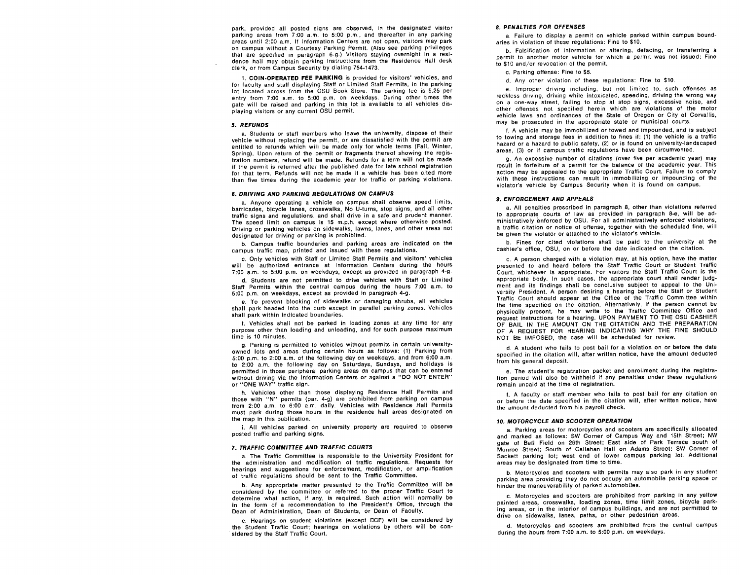park, provided all posted signs are observed, in the designated visitor parking areas from 7:00 a.m. to 5:00 p.m., and thereafter in any parking areas until 2:00 a.m. If Information Centers are not open, visitors may park on campus without a Courtesy Parking Permit. (Also see parking privileges that are specified in paragraph 6-g.) Visitors staying overnight in a residence hall may obtain parking instructions from the Residence Hall desk clerk, or from Campus Security by dialing 754-1473.

1. COIN-OPERATED FEE PARKING is provided for visitors' vehicles, and for faculty and staff displaying Staff or Limited Staff Permits, in the parking lot located across from the OSU Book Store. The parking fee is \$.25 per entry from 7:00 a.m. to 5:00 p.m. on weekdays. During other times the gate will be raised and parking in this lot is available to all vehicles displaying visitors or any current OSU permit.

#### S. REFUNDS

a. Students or staff members who leave the university, dispose of their vehicle without replacing the permit, or are dissatisfied with the permit are entitled to refunds which will be made only for whole terms (Fall, Winter, Spring). Upon return of the permit or fragments thereof showing the registration numbers, refund will be made. Refunds for a term will not be made if the permit is returned after the published date for late school registration for that term. Refunds will not be made if a vehicle has been cited more than five times during the academic year for traffic or parking violations.

#### 6. DRIVING AND PARKING REGULATIONS ON CAMPUS

a. Anyone operating a vehicle on campus shall observe speed limits, barricades, bicycle lanes, crosswalks, No U-turns, stop signs, and all other traffic signs and regulations, and shall drive in a safe and prudent manner. The speed limit on campus is 15 m.p.h. except where otherwise posted. Driving or parking vehicles on sidewalks, lawns, lanes, and other areas not designated for driving or parking is prohibited.

b. Campus traffic boundaries and parking areas are indicated on the campus traffic map, printed and issued with these regulations.

c. Only vehicles with Staff or Limited Staff Permits and visitors' vehicles will be authorized entrance at Information Centers during the hours 7:00 a.m. to 5:00 p.m. on weekdays, except as provided in paragraph 4-g.<br>d. Students are not permitted to drive vehicles with Staff or Limited

Staff Permits within the central campus during the hours 7:00 a.m. to 5:00 p.m. on weekdays, except as provided in paragraph 4-g.

e. To prevent blocking of sidewalks or damaging shrubs, all vehicles shall park headed into the curb except in parallel parking zones. Vehicles shall park within indicated boundaries.

f. Vehicles shall not be parked in loading zones at any time for any purpose other than loading and unloading, and for such purpose maximum time is 10 minutes.

g. Parking is permitted to vehicles without permits in certain university-<br>owned lots and areas during certain hours as follows: (1) Parking from<br>5:00 p.m. to 2:00 a.m. of the following day on weekdays, and from 6:00 a.m. to 2:00 a.m. the following day on Saturdays, Sundays, and holidays is permitted in those peripheral parking areas on campus that can be entered without driving via the Information Centers or against a "DO NOT ENTER" or "ONE WAY" traffic sign.

h. Vehicles other than those displaying Residence Hall Permits and those with "N" permits (par. 4-g) are prohibited from parking on campus from 2:00 a.m. to 6:00 a.m. daily. Vehicles with Residence Hall Permits must park during those hours in the residence hall areas designated on the map in this publication.

i. All vehicles parked on university property are required to observe posted traffic and parking signs.

#### 7. TRAFFIC COMMITTEE AND TRAFFIC COURTS

a. The Traffic Committee is responsible to the University President for the administration and modification of traffic regulations. Requests for hearings and suggestions for enforcement, modification, or amplification of traffic regulations should be sent to the Traffic Committee.

b. Any appropriate matter presented to the Traffic Committee will be considered by the committee or referred to the proper Traffic Court to determine what action, if any, is required. Such action will normally be in the form of a recommendation to the President's Office, through the Dean of Administration, Dean of Students, or Dean of Faculty.

c. Hearings on student violations (except DCE) will be considered by the Student Traffic Court; hearings on violations by others will be considered by the Staff Traffic Court.

### 8. PENALTIES FOR OFFENSES

a. Failure to display a permit on vehicle parked within campus boundaries in violation of these regulations: Fine to \$10.

b. Falsification of information or altering, defacing, or transferring a permit to another motor vehicle for which a permit was not issued: Fine to \$10 and/or revocation of the permit.

#### c. Parking offense: Fine to \$5.

d. Any other violation of these regulations: Fine to \$10.

e. Improper driving including, but not limited to, such offenses as reckless driving, driving while intoxicated, speeding, driving the wrong way on a one-way street, failing to stop at stop signs, excessive noise, and other offenses not specified herein which are violations of the motor vehicle laws and ordinances of the State of Oregon or City of Corvallis, may be prosecuted in the appropriate state or municipal courts.

f. A vehicle may be immobilized or towed and impounded, and is subject to towing and storage fees in addition to fines if: (1) the vehicle is a traffic hazard or a hazard to public safety, (2) or is found on university-landscaped areas, (3) or if campus traffic regulations have been circumvented.

g. An excessive number of citations (over five per academic year) may result in forfeiture of a permit for the balance of the academic year. This action may be appealed to the appropriate Traffic Court. Failure to comply with these instructions can result in immobilizing or impounding of the violator's vehicle by Campus Security when it is found on campus.

#### 9. ENFORCEMENT AND APPEALS

a. All penalties prescribed in paragraph 8, other than violations referred to appropriate courts of law as provided in paragraph 8-e, will be administratively enforced by OSU. For all administratively enforced violations, a traffic citation or notice of offense, together with the scheduled fine, will be given the violator or attached to the violator's vehicle.

b. Fines for cited violations shall be paid to the university at the cashier's office, OSU, on or before the date indicated on the citation.

c. A person charged with a violation may, at his option, have the matter presented to and heard before the Staff Traffic Court or Student Traffic Court, whichever is appropriate. For visitors the Staff Traffic Court is the appropriate body. In such cases, the appropriate court shall render judgment and its findings shall be conclusive subject to appeal to the Uni-<br>versity President. A person desiring a hearing before the Staff or Student Traffic Court should appear at the Office of the Traffic Committee within the time specified on the citation. Alternatively, if the person cannot be physically present, he may write to the Traffic Committee Office and request instructions for a hearing. UPON PAYMENT TO THE OSU CASHIER OF BAIL IN THE AMOUNT ON THE CITATION AND THE PREPARATION OF A REQUEST FOR HEARING INDICATING WHY THE FINE SHOULD NOT BE IMPOSED, the case will be scheduled for review.

d. A student who fails to post bail for a violation on or before the date specified in the citation will, after written notice, have the amount deducted from his general deposit.

e. The student's registration packet and enrollment during the registration period will also be withheld if any penalties under these regulations remain unpaid at the time of registration.

f. A faculty or staff member who fails to post bail for any citation on or before the date specified in the citation will, after written notice, have the amount deducted from his payroll check.

#### 10. MOTORCYCLE AND SCOOTER OPERATION

a. Parking areas for motorcycles and scooters are specifically allocated and marked as follows: SW Corner of Campus Way and 15th Street; NW gate of Bell Field on 26th Street; East side of Park Terrace south of Monroe Street; South of Callahan Hall on Adams Street; SW Corner of Sackett parking lot; west end of lower campus parking lot. Additional areas may be designated from time to time.

b. Motorcycles and scooters with permits may also park in any student parking area providing they do not occupy an automobile parking space or hinder the maneuverability of parked automobiles.

c. Motorcycles and scooters are prohibited from parking in any yellow painted areas, crosswalks, loading zones, time limit zones, bicycle parking areas, or in the interior of campus buildings, and are not permitted to drive on sidewalks, lanes, paths, or other pedestrian areas.

d. Motorcycles and scooters are prohibited from the central campus during the hours from 7:00 a.m. to 5:00 p.m. on weekdays.